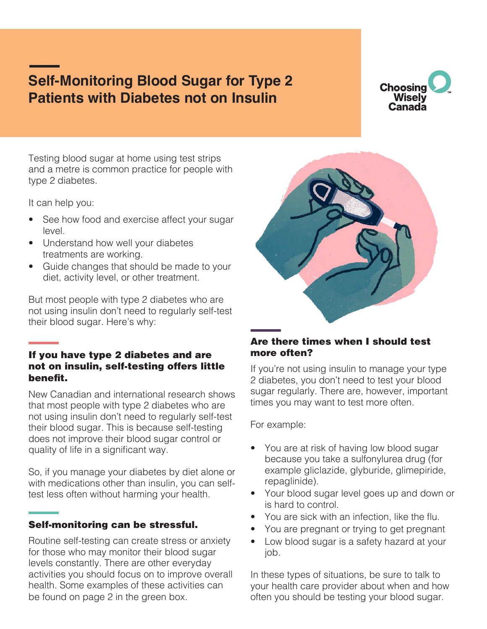# **Self-Monitoring Blood Sugar for Type 2 Patients with Diabetes not on Insulin**



Testing blood sugar at home using test strips and a metre is common practice for people with type 2 diabetes.

It can help you:

- See how food and exercise affect your sugar level.
- Understand how well your diabetes treatments are working.
- Guide changes that should be made to your diet, activity level, or other treatment.

But most people with type 2 diabetes who are not using insulin don't need to regularly self-test their blood sugar. Here's why:

# If you have type 2 diabetes and are not on insulin, self-testing offers little benefit.

New Canadian and international research shows that most people with type 2 diabetes who are not using insulin don't need to regularly self-test their blood sugar. This is because self-testing does not improve their blood sugar control or quality of life in a significant way.

So, if you manage your diabetes by diet alone or with medications other than insulin, you can selftest less often without harming your health.

# Self-monitoring can be stressful.

Routine self-testing can create stress or anxiety for those who may monitor their blood sugar levels constantly. There are other everyday activities you should focus on to improve overall health. Some examples of these activities can be found on page 2 in the green box.



# Are there times when I should test more often?

If you're not using insulin to manage your type 2 diabetes, you don't need to test your blood sugar regularly. There are, however, important times you may want to test more often.

For example:

- You are at risk of having low blood sugar because you take a sulfonylurea drug (for example gliclazide, glyburide, glimepiride, repaglinide).
- Your blood sugar level goes up and down or is hard to control.
- You are sick with an infection, like the flu.
- You are pregnant or trying to get pregnant
- Low blood sugar is a safety hazard at your job.

In these types of situations, be sure to talk to your health care provider about when and how often you should be testing your blood sugar.